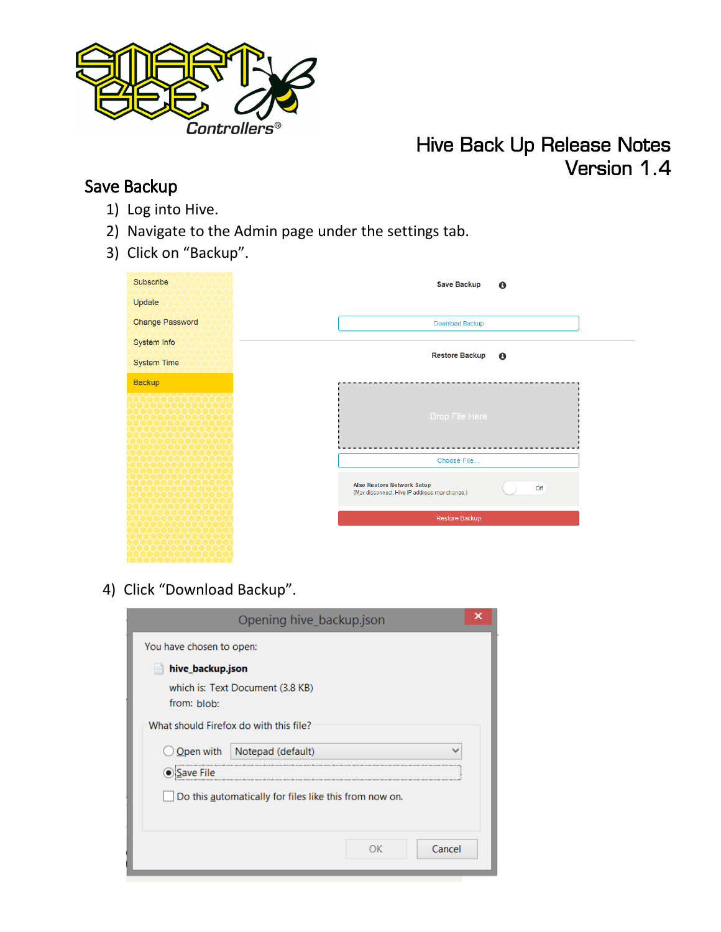

## Hive Back Up Release Notes Version 1.4

## Save Backup

- 1) Log into Hive.
- 2) Navigate to the Admin page under the settings tab.
- 3) Click on "Backup".

| Subscribe              | <b>Save Backup</b>                            | $\mathbf{\Theta}$ |
|------------------------|-----------------------------------------------|-------------------|
| Update                 |                                               |                   |
| <b>Change Password</b> | Download Backup                               |                   |
| System Info            |                                               |                   |
| <b>System Time</b>     | <b>Restore Backup</b>                         | $\mathbf \Theta$  |
| <b>Backup</b>          |                                               |                   |
|                        |                                               |                   |
|                        | Drop File Here                                |                   |
|                        |                                               |                   |
|                        | Choose File                                   |                   |
|                        | <b>Also Restore Network Setup</b>             |                   |
|                        | (May disconnect. Hive IP address may change.) | Off               |
|                        | Restore Backup                                |                   |
|                        |                                               |                   |
|                        |                                               |                   |

4) Click "Download Backup".

|                                                 | Opening hive_backup.json                               | x |
|-------------------------------------------------|--------------------------------------------------------|---|
| You have chosen to open:                        |                                                        |   |
| hive_backup.json                                |                                                        |   |
| which is: Text Document (3.8 KB)<br>from: blob: |                                                        |   |
|                                                 | What should Firefox do with this file?                 |   |
| Open with<br>Notepad (default)<br>v             |                                                        |   |
| Save File                                       |                                                        |   |
|                                                 | Do this automatically for files like this from now on. |   |
|                                                 | Cancel<br>nκ                                           |   |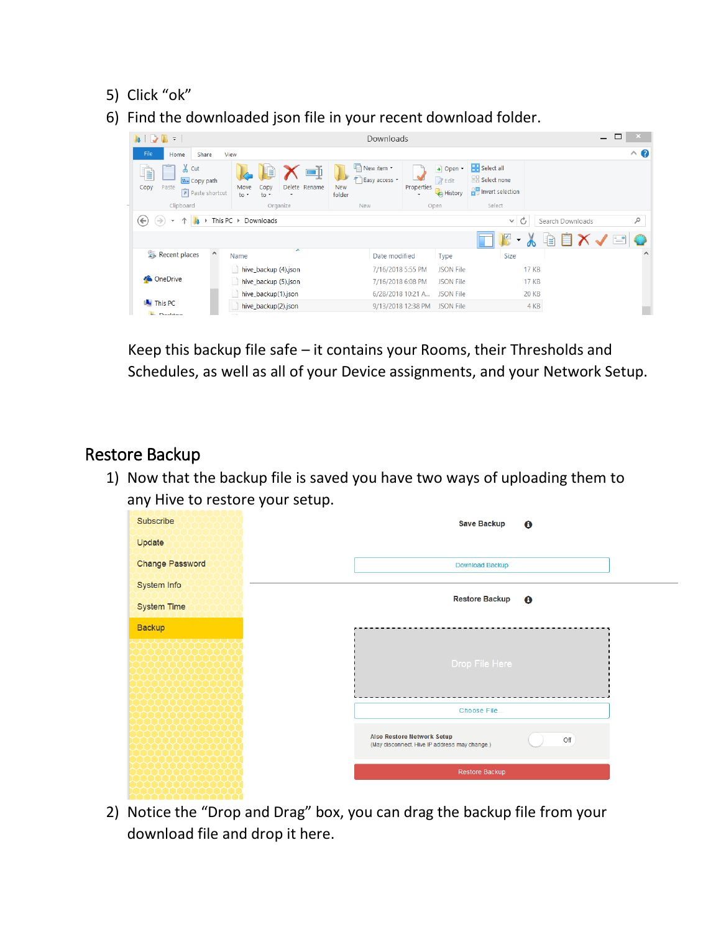- 5) Click "ok"
- 6) Find the downloaded json file in your recent download folder.

| $\mathbb{R}$ =<br>$\mathcal{L}$<br>la.                                |                                                                       | Downloads                                                                 |                                                    |                                                                        | □<br>$\overline{\phantom{0}}$             | ×.        |
|-----------------------------------------------------------------------|-----------------------------------------------------------------------|---------------------------------------------------------------------------|----------------------------------------------------|------------------------------------------------------------------------|-------------------------------------------|-----------|
| File<br>Share<br>Home                                                 | View                                                                  |                                                                           |                                                    |                                                                        |                                           | $\land$ 0 |
| $\lambda$ Cut<br>R<br>W. Copy path<br>Paste<br>Copy<br>Paste shortcut | LÉ<br>Delete Rename<br>Copy<br>Move<br>$\mathsf{to}$<br>$\frac{1}{2}$ | New item *<br>L<br>$\mathcal{F}$<br>Easy access *<br><b>New</b><br>folder | + Open -<br><b>Z</b> Edit<br>Properties<br>History | <b>R</b> Select all<br><b>BB</b> Select none<br>$R_0$ Invert selection |                                           |           |
| Clipboard                                                             | Organize                                                              | <b>New</b>                                                                | Open                                               | Select                                                                 |                                           |           |
| $(\Leftarrow)$                                                        | This PC $\rightarrow$<br>Downloads                                    |                                                                           |                                                    | Ċ<br>$\checkmark$                                                      | Search Downloads                          | $\varphi$ |
|                                                                       |                                                                       |                                                                           |                                                    |                                                                        | $\mathbb{r}$ $\times$ $\mathbb{r}$<br>iè. |           |
| $\widehat{\phantom{a}}$<br>Recent places                              | ▴<br>Name                                                             | Date modified                                                             | <b>Type</b>                                        | <b>Size</b>                                                            |                                           | $\wedge$  |
|                                                                       | hive_backup (4).json                                                  | 7/16/2018 5:55 PM                                                         | <b>JSON File</b>                                   | <b>17 KB</b>                                                           |                                           |           |
| <b>ConeDrive</b>                                                      | hive_backup (5).json                                                  | 7/16/2018 6:08 PM                                                         | <b>JSON File</b>                                   | <b>17 KB</b>                                                           |                                           |           |
|                                                                       | hive_backup(1).json                                                   | 6/28/2018 10:21 A                                                         | <b>JSON File</b>                                   | <b>20 KB</b>                                                           |                                           |           |
| <b>IN This PC</b>                                                     | hive_backup(2).json                                                   | 9/13/2018 12:38 PM                                                        | <b>JSON File</b>                                   | 4 KB                                                                   |                                           |           |
| <b>BE Insurance</b>                                                   |                                                                       |                                                                           |                                                    |                                                                        |                                           |           |

Keep this backup file safe – it contains your Rooms, their Thresholds and Schedules, as well as all of your Device assignments, and your Network Setup.

## Restore Backup

1) Now that the backup file is saved you have two ways of uploading them to any Hive to restore your setup.

| Subscribe              | <b>Save Backup</b>                            | $\mathbf{e}$ |
|------------------------|-----------------------------------------------|--------------|
| Update                 |                                               |              |
| <b>Change Password</b> | Download Backup                               |              |
| System Info            |                                               |              |
| <b>System Time</b>     | <b>Restore Backup</b>                         | $\mathbf{e}$ |
| <b>Backup</b>          |                                               |              |
|                        |                                               |              |
|                        | Drop File Here                                |              |
|                        |                                               |              |
|                        | Choose File                                   |              |
|                        | <b>Also Restore Network Setup</b>             | Off          |
|                        | (May disconnect. Hive IP address may change.) |              |
|                        | Restore Backup                                |              |
|                        |                                               |              |

2) Notice the "Drop and Drag" box, you can drag the backup file from your download file and drop it here.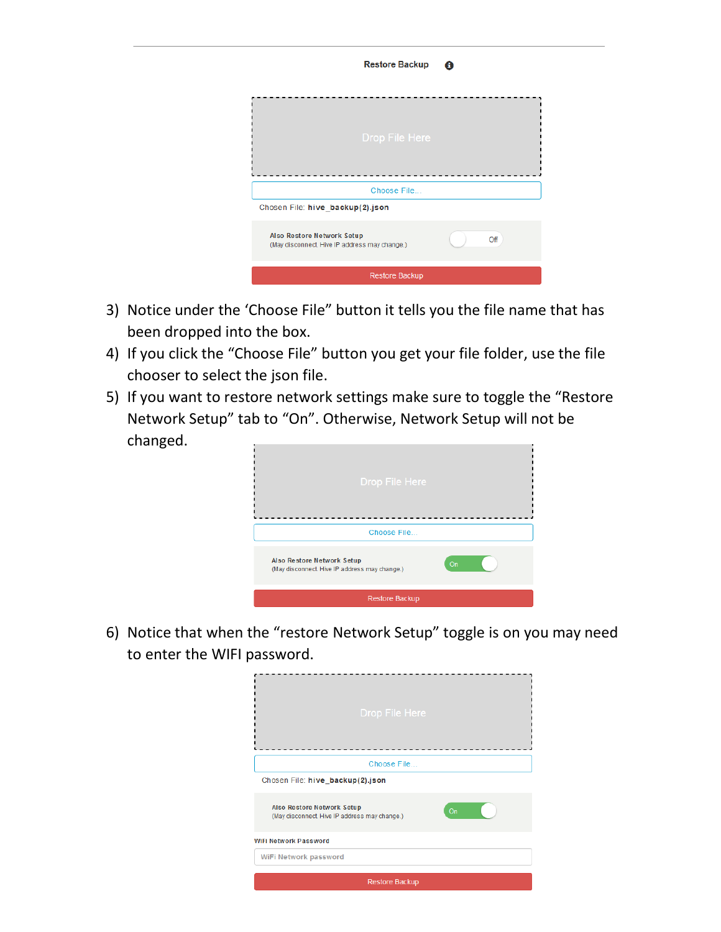|                                                                                    | <b>Restore Backup</b> | A   |
|------------------------------------------------------------------------------------|-----------------------|-----|
|                                                                                    |                       |     |
|                                                                                    | <b>Drop File Here</b> |     |
|                                                                                    | Choose File           |     |
| Chosen File: hive_backup(2).json                                                   |                       |     |
| <b>Also Restore Network Setup</b><br>(May disconnect. Hive IP address may change.) |                       | Off |
|                                                                                    | Restore Backup        |     |

- 3) Notice under the 'Choose File" button it tells you the file name that has been dropped into the box.
- 4) If you click the "Choose File" button you get your file folder, use the file chooser to select the json file.
- 5) If you want to restore network settings make sure to toggle the "Restore Network Setup" tab to "On". Otherwise, Network Setup will not be changed.



6) Notice that when the "restore Network Setup" toggle is on you may need to enter the WIFI password.